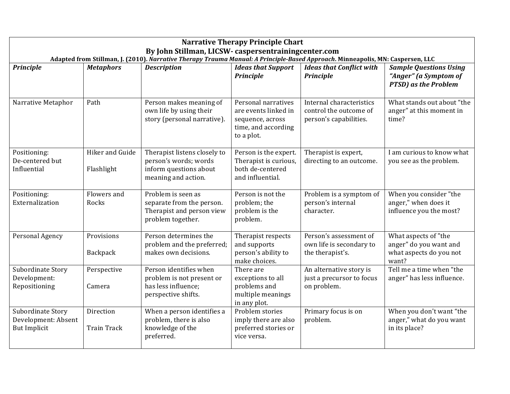| <b>Narrative Therapy Principle Chart</b>                                                                                                                                               |                                 |                                                                                                        |                                                                                                      |                                                                              |                                                                                        |  |  |  |  |
|----------------------------------------------------------------------------------------------------------------------------------------------------------------------------------------|---------------------------------|--------------------------------------------------------------------------------------------------------|------------------------------------------------------------------------------------------------------|------------------------------------------------------------------------------|----------------------------------------------------------------------------------------|--|--|--|--|
| By John Stillman, LICSW- caspersentrainingcenter.com<br>Adapted from Stillman, J. (2010). Narrative Therapy Trauma Manual: A Principle-Based Approach. Minneapolis, MN: Caspersen, LLC |                                 |                                                                                                        |                                                                                                      |                                                                              |                                                                                        |  |  |  |  |
| <b>Principle</b>                                                                                                                                                                       | <b>Metaphors</b>                | <b>Description</b>                                                                                     | <b>Ideas that Support</b><br><b>Principle</b>                                                        | <b>Ideas that Conflict with</b><br><b>Principle</b>                          | <b>Sample Questions Using</b><br>"Anger" (a Symptom of<br><b>PTSD</b> ) as the Problem |  |  |  |  |
| Narrative Metaphor                                                                                                                                                                     | Path                            | Person makes meaning of<br>own life by using their<br>story (personal narrative).                      | Personal narratives<br>are events linked in<br>sequence, across<br>time, and according<br>to a plot. | Internal characteristics<br>control the outcome of<br>person's capabilities. | What stands out about "the<br>anger" at this moment in<br>time?                        |  |  |  |  |
| Positioning:<br>De-centered but<br>Influential                                                                                                                                         | Hiker and Guide<br>Flashlight   | Therapist listens closely to<br>person's words; words<br>inform questions about<br>meaning and action. | Person is the expert.<br>Therapist is curious,<br>both de-centered<br>and influential.               | Therapist is expert,<br>directing to an outcome.                             | I am curious to know what<br>you see as the problem.                                   |  |  |  |  |
| Positioning:<br>Externalization                                                                                                                                                        | Flowers and<br>Rocks            | Problem is seen as<br>separate from the person.<br>Therapist and person view<br>problem together.      | Person is not the<br>problem; the<br>problem is the<br>problem.                                      | Problem is a symptom of<br>person's internal<br>character.                   | When you consider "the<br>anger," when does it<br>influence you the most?              |  |  |  |  |
| Personal Agency                                                                                                                                                                        | Provisions<br>Backpack          | Person determines the<br>problem and the preferred;<br>makes own decisions.                            | Therapist respects<br>and supports<br>person's ability to<br>make choices.                           | Person's assessment of<br>own life is secondary to<br>the therapist's.       | What aspects of "the<br>anger" do you want and<br>what aspects do you not<br>want?     |  |  |  |  |
| Subordinate Story<br>Development:<br>Repositioning                                                                                                                                     | Perspective<br>Camera           | Person identifies when<br>problem is not present or<br>has less influence;<br>perspective shifts.      | There are<br>exceptions to all<br>problems and<br>multiple meanings<br>in any plot.                  | An alternative story is<br>just a precursor to focus<br>on problem.          | Tell me a time when "the<br>anger" has less influence.                                 |  |  |  |  |
| Subordinate Story<br>Development: Absent<br><b>But Implicit</b>                                                                                                                        | Direction<br><b>Train Track</b> | When a person identifies a<br>problem, there is also<br>knowledge of the<br>preferred.                 | Problem stories<br>imply there are also<br>preferred stories or<br>vice versa.                       | Primary focus is on<br>problem.                                              | When you don't want "the<br>anger," what do you want<br>in its place?                  |  |  |  |  |